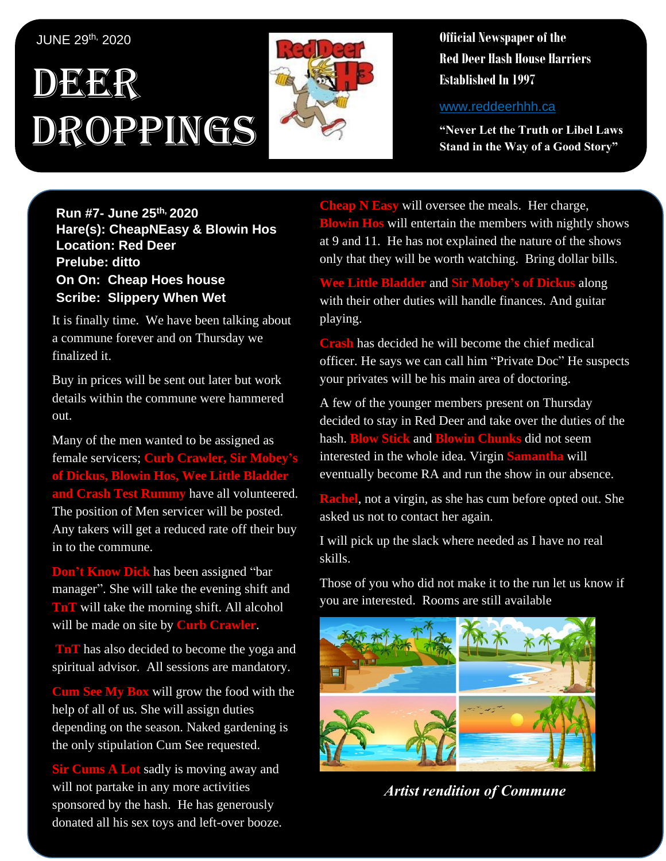#### JUNE 29<sup>th,</sup> 2020

# DEER Droppings



**Official Newspaper of the Red Deer Hash House Harriers Established In 1997** 

www.reddeerhhh.ca

**"Never Let the Truth or Libel Laws Stand in the Way of a Good Story"**

**Run #7- June 25th, 2020 Hare(s): CheapNEasy & Blowin Hos Location: Red Deer Prelube: ditto On On: Cheap Hoes house Scribe: Slippery When Wet**

It is finally time. We have been talking about a commune forever and on Thursday we finalized it.

Buy in prices will be sent out later but work details within the commune were hammered out.

Many of the men wanted to be assigned as female servicers; **Curb Crawler**, S **of Dickus, Blowin Hos, Wee Little Bladder and Crash Test Rummy** have all volunteered. The position of Men servicer will be posted. Any takers will get a reduced rate off their buy in to the commune.

**Don't Know Dick** has been assigned "bar manager". She will take the evening shift and **TnT** will take the morning shift. All alcohol will be made on site by **Curb Crawler**.

**TnT** has also decided to become the yoga and spiritual advisor. All sessions are mandatory.

**Cum See My Box** will grow the food with the help of all of us. She will assign duties depending on the season. Naked gardening is the only stipulation Cum See requested.

**Sir Cums A Lot** sadly is moving away and will not partake in any more activities sponsored by the hash. He has generously donated all his sex toys and left-over booze.

**Cheap N Easy** will oversee the meals. Her charge, **Blowin Hos** will entertain the members with nightly shows at 9 and 11. He has not explained the nature of the shows only that they will be worth watching. Bring dollar bills.

**Wee Little Bladder** and **Sir Mobey's of Dickus** along with their other duties will handle finances. And guitar playing.

**Crash** has decided he will become the chief medical officer. He says we can call him "Private Doc" He suspects your privates will be his main area of doctoring.

A few of the younger members present on Thursday decided to stay in Red Deer and take over the duties of the hash. **Blow Stick** and **Blowin Chunks** did not seem interested in the whole idea. Virgin **Samantha** will eventually become RA and run the show in our absence.

**Rachel**, not a virgin, as she has cum before opted out. She asked us not to contact her again.

I will pick up the slack where needed as I have no real skills.

Those of you who did not make it to the run let us know if you are interested. Rooms are still available



*Artist rendition of Commune*